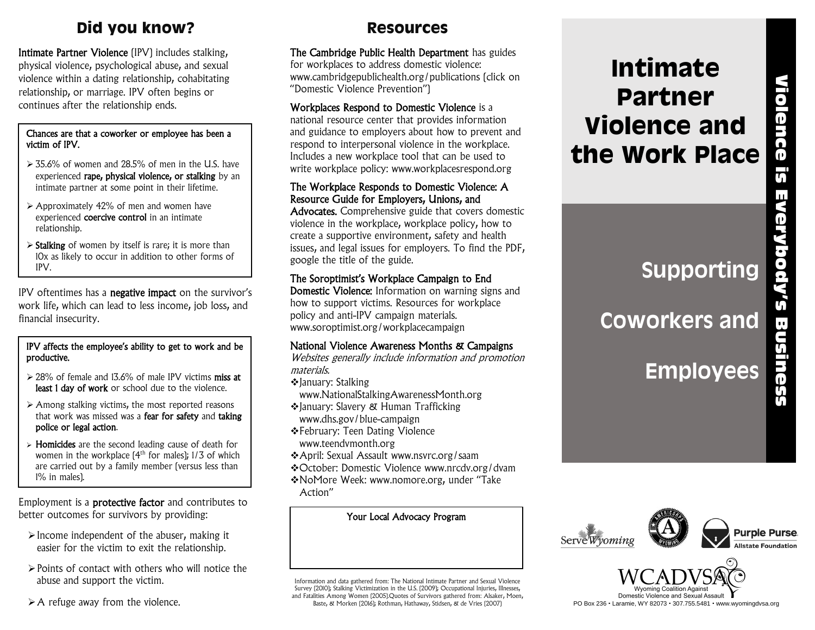# **Did you know?**

Intimate Partner Violence (IPV) includes stalking, physical violence, psychological abuse, and sexual violence within a dating relationship, cohabitating relationship, or marriage. IPV often begins or continues after the relationship ends.

### Chances are that a coworker or employee has been a victim of IPV.

- ➢ 35.6% of women and 28.5% of men in the U.S. have experienced rape, physical violence, or stalking by an intimate partner at some point in their lifetime.
- ➢ Approximately 42% of men and women have experienced **coercive control** in an intimate relationship.
- ➢ Stalking of women by itself is rare; it is more than 10x as likely to occur in addition to other forms of IPV.

IPV oftentimes has a negative impact on the survivor's work life, which can lead to less income, job loss, and financial insecurity.

### IPV affects the employee's ability to get to work and be productive.

- ➢ 28% of female and 13.6% of male IPV victims miss at least 1 day of work or school due to the violence.
- ➢ Among stalking victims, the most reported reasons that work was missed was a fear for safety and taking police or legal action.
- ➢ Homicides are the second leading cause of death for women in the workplace  $[4<sup>th</sup>$  for males); 1/3 of which are carried out by a family member (versus less than 1% in males).

Employment is a protective factor and contributes to better outcomes for survivors by providing:

- $\triangleright$  Income independent of the abuser, making it easier for the victim to exit the relationship.
- ➢Points of contact with others who will notice the abuse and support the victim.
- $\triangleright$  A refuge away from the violence.

## **Resources**

The Cambridge Public Health Department has guides for workplaces to address domestic violence: www.cambridgepublichealth.org/publications (click on "Domestic Violence Prevention")

### Workplaces Respond to Domestic Violence is a national resource center that provides information and guidance to employers about how to prevent and respond to interpersonal violence in the workplace. Includes a new workplace tool that can be used to write workplace policy: www.workplacesrespond.org

### The Workplace Responds to Domestic Violence: A Resource Guide for Employers, Unions, and

Advocates. Comprehensive guide that covers domestic violence in the workplace, workplace policy, how to create a supportive environment, safety and health issues, and legal issues for employers. To find the PDF, google the title of the guide.

### The Soroptimist's Workplace Campaign to End

Domestic Violence: Information on warning signs and how to support victims. Resources for workplace policy and anti-IPV campaign materials. www.soroptimist.org/workplacecampaign

### National Violence Awareness Months & Campaigns

Websites generally include information and promotion materials.

- ❖January: Stalking
- www.NationalStalkingAwarenessMonth.org
- ❖January: Slavery & Human Trafficking www.dhs.gov/blue-campaign
- ❖February: Teen Dating Violence www.teendvmonth.org
- ❖April: Sexual Assault www.nsvrc.org/saam
- ❖October: Domestic Violence www.nrcdv.org/dvam
- ❖NoMore Week: www.nomore.org, under "Take Action"

Information and data gathered from: The National Intimate Partner and Sexual Violence Survey (2010); Stalking Victimization in the U.S. (2009); Occupational Injuries, Illnesses, and Fatalities Among Women (2005).Quotes of Survivors gathered from: Alsaker, Moen, Baste, & Morken (2016); Rothman, Hathaway, Stidsen, & de Vries (2007)

# **Intimate Partner Violence and the Work Place** Standard Connect Connect Connect Connect Connect Connect Connect Connect Connect Connect Connect Connect Connect Connect Connect Connect Connect Connect Connect Connect Connect Connect Connect Connect Connect Connect Conne

**Supporting** 

# **Coworkers and**

**Employees**